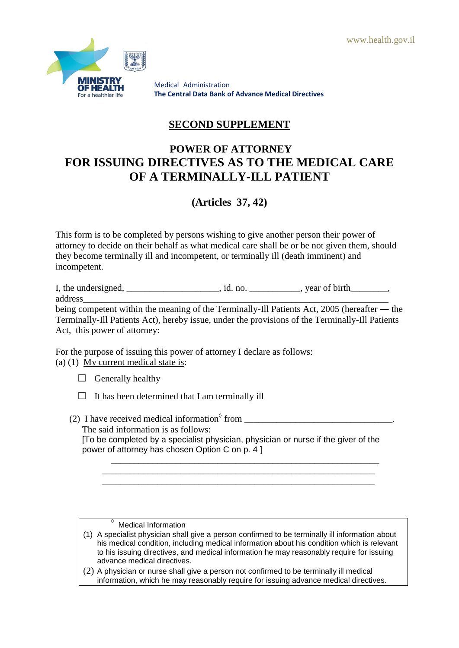

Medical Administration **The Central Data Bank of Advance Medical Directives**

# **SECOND SUPPLEMENT**

# **POWER OF ATTORNEY FOR ISSUING DIRECTIVES AS TO THE MEDICAL CARE OF A TERMINALLY-ILL PATIENT**

# **(Articles 37, 42)**

This form is to be completed by persons wishing to give another person their power of attorney to decide on their behalf as what medical care shall be or be not given them, should they become terminally ill and incompetent, or terminally ill (death imminent) and incompetent.

I, the undersigned, \_\_\_\_\_\_\_\_\_\_\_\_\_\_, id. no. \_\_\_\_\_\_\_\_, year of birth\_\_\_\_\_\_, address

being competent within the meaning of the Terminally-Ill Patients Act, 2005 (hereafter ― the Terminally-Ill Patients Act), hereby issue, under the provisions of the Terminally-Ill Patients Act, this power of attorney:

For the purpose of issuing this power of attorney I declare as follows: (a) (1) My current medical state is:

- $\Box$  Generally healthy
- $\Box$  It has been determined that I am terminally ill
- (2) I have received medical information $\delta$  from \_\_\_\_\_\_\_\_\_\_\_\_\_\_\_\_\_\_\_\_\_\_\_\_\_\_\_\_\_\_\_\_ The said information is as follows: [To be completed by a specialist physician, physician or nurse if the giver of the power of attorney has chosen Option C on p. 4 ] \_\_\_\_\_\_\_\_\_\_\_\_\_\_\_\_\_\_\_\_\_\_\_\_\_\_\_\_\_\_\_\_\_\_\_\_\_\_\_\_\_\_\_\_\_\_\_\_\_\_\_\_\_\_\_\_\_\_

\_\_\_\_\_\_\_\_\_\_\_\_\_\_\_\_\_\_\_\_\_\_\_\_\_\_\_\_\_\_\_\_\_\_\_\_\_\_\_\_\_\_\_\_\_\_\_\_\_\_\_\_\_\_\_\_\_\_\_

**Medical Information** 

- (1) A specialist physician shall give a person confirmed to be terminally ill information about his medical condition, including medical information about his condition which is relevant to his issuing directives, and medical information he may reasonably require for issuing advance medical directives.
- (2) A physician or nurse shall give a person not confirmed to be terminally ill medical information, which he may reasonably require for issuing advance medical directives.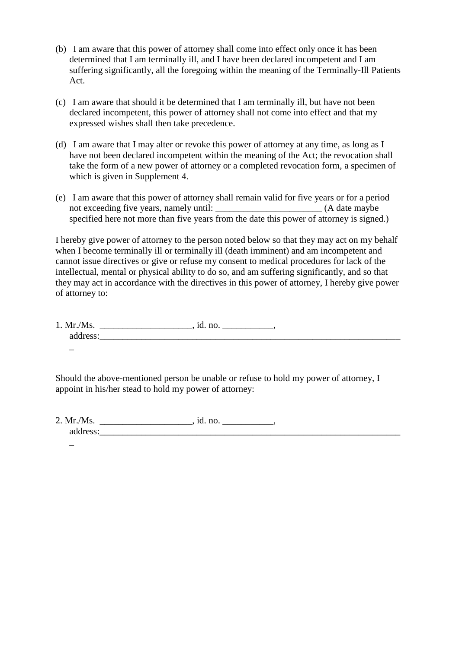- (b) I am aware that this power of attorney shall come into effect only once it has been determined that I am terminally ill, and I have been declared incompetent and I am suffering significantly, all the foregoing within the meaning of the Terminally-Ill Patients Act.
- (c) I am aware that should it be determined that I am terminally ill, but have not been declared incompetent, this power of attorney shall not come into effect and that my expressed wishes shall then take precedence.
- (d) I am aware that I may alter or revoke this power of attorney at any time, as long as I have not been declared incompetent within the meaning of the Act; the revocation shall take the form of a new power of attorney or a completed revocation form, a specimen of which is given in Supplement 4.
- (e) I am aware that this power of attorney shall remain valid for five years or for a period not exceeding five years, namely until: \_\_\_\_\_\_\_\_\_\_\_\_\_\_\_\_\_\_\_\_\_\_\_ (A date maybe specified here not more than five years from the date this power of attorney is signed.)

I hereby give power of attorney to the person noted below so that they may act on my behalf when I become terminally ill or terminally ill (death imminent) and am incompetent and cannot issue directives or give or refuse my consent to medical procedures for lack of the intellectual, mental or physical ability to do so, and am suffering significantly, and so that they may act in accordance with the directives in this power of attorney, I hereby give power of attorney to:

1. Mr./Ms. \_\_\_\_\_\_\_\_\_\_\_\_\_\_\_\_\_\_\_\_, id. no. \_\_\_\_\_\_\_\_\_\_\_, address:  $\overline{\phantom{0}}$ 

Should the above-mentioned person be unable or refuse to hold my power of attorney, I appoint in his/her stead to hold my power of attorney:

 $2. Mr. /Ms.$  \_\_\_\_\_\_\_\_\_\_\_\_\_\_\_, id. no. \_\_\_\_\_\_\_\_\_\_\_\_\_, address:

 $\overline{a}$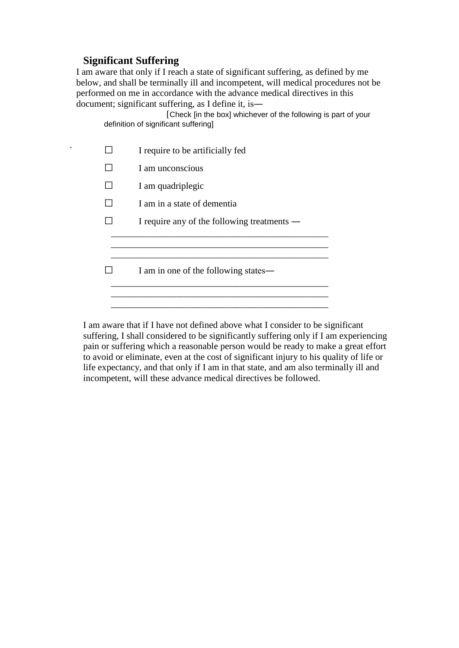## **Significant Suffering**

I am aware that only if I reach a state of significant suffering, as defined by me below, and shall be terminally ill and incompetent, will medical procedures not be performed on me in accordance with the advance medical directives in this document; significant suffering, as I define it, is―

[Check [in the box] whichever of the following is part of your definition of significant suffering]

| ╮ | I require to be artificially fed            |
|---|---------------------------------------------|
|   | I am unconscious                            |
|   | I am quadriplegic                           |
|   | I am in a state of dementia                 |
|   | I require any of the following treatments — |
|   |                                             |
|   |                                             |
|   | I am in one of the following states—        |
|   |                                             |
|   |                                             |

I am aware that if I have not defined above what I consider to be significant suffering, I shall considered to be significantly suffering only if I am experiencing pain or suffering which a reasonable person would be ready to make a great effort to avoid or eliminate, even at the cost of significant injury to his quality of life or life expectancy, and that only if I am in that state, and am also terminally ill and incompetent, will these advance medical directives be followed.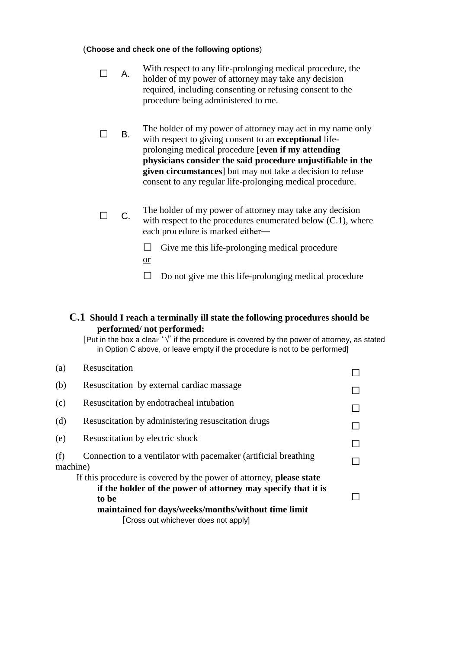#### (**Choose and check one of the following options**)

- $\Box$  A. With respect to any life-prolonging medical procedure, the holder of my power of attorney may take any decision required, including consenting or refusing consent to the procedure being administered to me.
- $\Box$  B. The holder of my power of attorney may act in my name only with respect to giving consent to an **exceptional** lifeprolonging medical procedure [**even if my attending physicians consider the said procedure unjustifiable in the given circumstances**] but may not take a decision to refuse consent to any regular life-prolonging medical procedure.
- $\Box$  C. The holder of my power of attorney may take any decision with respect to the procedures enumerated below (C.1), where each procedure is marked either―

 $\Box$  Give me this life-prolonging medical procedure or

 $\Box$  Do not give me this life-prolonging medical procedure

### **C.1 Should I reach a terminally ill state the following procedures should be performed/ not performed:**

[Put in the box a clear ' $\sqrt{ }$ ' if the procedure is covered by the power of attorney, as stated in Option C above, or leave empty if the procedure is not to be performed]

| Resuscitation                                                                                                                                                                                                                                |  |
|----------------------------------------------------------------------------------------------------------------------------------------------------------------------------------------------------------------------------------------------|--|
| Resuscitation by external cardiac massage                                                                                                                                                                                                    |  |
| Resuscitation by endotracheal intubation                                                                                                                                                                                                     |  |
| Resuscitation by administering resuscitation drugs                                                                                                                                                                                           |  |
| Resuscitation by electric shock                                                                                                                                                                                                              |  |
| Connection to a ventilator with pacemaker (artificial breathing<br>machine)                                                                                                                                                                  |  |
| If this procedure is covered by the power of attorney, please state<br>if the holder of the power of attorney may specify that it is<br>to be<br>maintained for days/weeks/months/without time limit<br>[Cross out whichever does not apply] |  |
|                                                                                                                                                                                                                                              |  |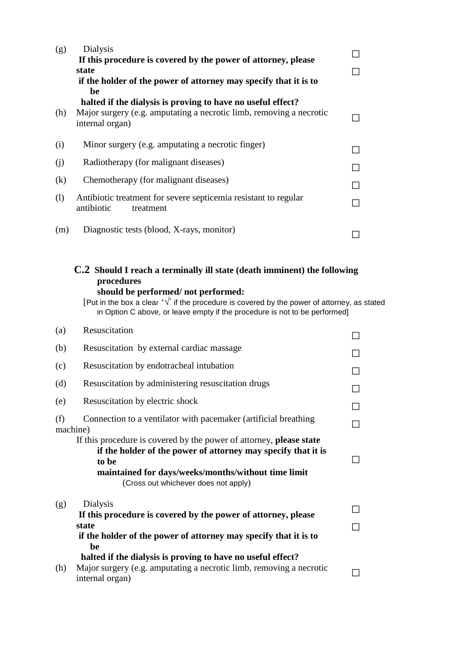| (g) | Dialysis<br>If this procedure is covered by the power of attorney, please<br>state<br>if the holder of the power of attorney may specify that it is to<br>be |  |
|-----|--------------------------------------------------------------------------------------------------------------------------------------------------------------|--|
| (h) | halted if the dialysis is proving to have no useful effect?<br>Major surgery (e.g. amputating a necrotic limb, removing a necrotic<br>internal organ)        |  |
| (i) | Minor surgery (e.g. amputating a necrotic finger)                                                                                                            |  |
| (i) | Radiotherapy (for malignant diseases)                                                                                                                        |  |
| (k) | Chemotherapy (for malignant diseases)                                                                                                                        |  |
| (1) | Antibiotic treatment for severe septicemia resistant to regular<br>antibiotic<br>treatment                                                                   |  |
| (m) | Diagnostic tests (blood, X-rays, monitor)                                                                                                                    |  |

# **C.2 Should I reach a terminally ill state (death imminent) the following procedures**

#### **should be performed/ not performed:**

[Put in the box a clear ' $\sqrt{ }$ ' if the procedure is covered by the power of attorney, as stated in Option C above, or leave empty if the procedure is not to be performed]

| (a)             | Resuscitation                                                                                                                                                                                                                                |        |
|-----------------|----------------------------------------------------------------------------------------------------------------------------------------------------------------------------------------------------------------------------------------------|--------|
| (b)             | Resuscitation by external cardiac massage                                                                                                                                                                                                    |        |
| (c)             | Resuscitation by endotracheal intubation                                                                                                                                                                                                     | ΙI     |
| (d)             | Resuscitation by administering resuscitation drugs                                                                                                                                                                                           |        |
| (e)             | Resuscitation by electric shock                                                                                                                                                                                                              | $\Box$ |
| (f)<br>machine) | Connection to a ventilator with pacemaker (artificial breathing                                                                                                                                                                              |        |
|                 | If this procedure is covered by the power of attorney, please state<br>if the holder of the power of attorney may specify that it is<br>to be<br>maintained for days/weeks/months/without time limit<br>(Cross out whichever does not apply) |        |
| (g)             | Dialysis<br>If this procedure is covered by the power of attorney, please<br>state<br>if the holder of the power of attorney may specify that it is to<br>be                                                                                 |        |
| (h)             | halted if the dialysis is proving to have no useful effect?<br>Major surgery (e.g. amputating a necrotic limb, removing a necrotic<br>internal organ)                                                                                        |        |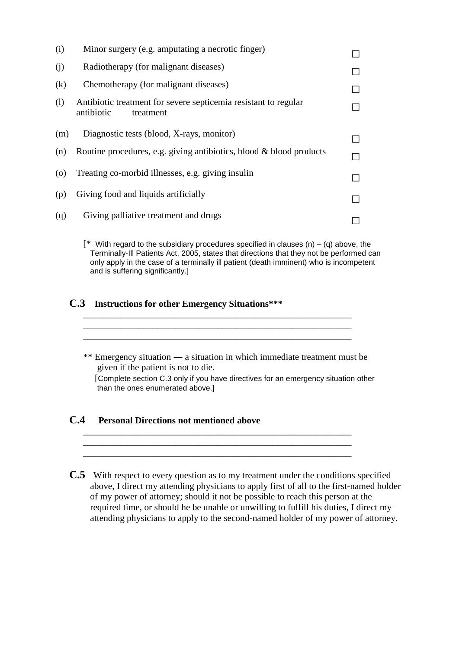| (i)                | Minor surgery (e.g. amputating a necrotic finger)                                          |  |
|--------------------|--------------------------------------------------------------------------------------------|--|
| (j)                | Radiotherapy (for malignant diseases)                                                      |  |
| (k)                | Chemotherapy (for malignant diseases)                                                      |  |
| (1)                | Antibiotic treatment for severe septicemia resistant to regular<br>antibiotic<br>treatment |  |
| (m)                | Diagnostic tests (blood, X-rays, monitor)                                                  |  |
| (n)                | Routine procedures, e.g. giving antibiotics, blood & blood products                        |  |
| $\left( 0 \right)$ | Treating co-morbid illnesses, e.g. giving insulin                                          |  |
| (p)                | Giving food and liquids artificially                                                       |  |
| (q)                | Giving palliative treatment and drugs                                                      |  |

 $[$  \* With regard to the subsidiary procedures specified in clauses (n) – (q) above, the Terminally-Ill Patients Act, 2005, states that directions that they not be performed can only apply in the case of a terminally ill patient (death imminent) who is incompetent and is suffering significantly.]

### **C.3 Instructions for other Emergency Situations\*\*\***

\*\* Emergency situation ― a situation in which immediate treatment must be given if the patient is not to die. [Complete section C.3 only if you have directives for an emergency situation other than the ones enumerated above.]

\_\_\_\_\_\_\_\_\_\_\_\_\_\_\_\_\_\_\_\_\_\_\_\_\_\_\_\_\_\_\_\_\_\_\_\_\_\_\_\_\_\_\_\_\_\_\_\_\_\_\_\_\_\_\_\_\_\_ \_\_\_\_\_\_\_\_\_\_\_\_\_\_\_\_\_\_\_\_\_\_\_\_\_\_\_\_\_\_\_\_\_\_\_\_\_\_\_\_\_\_\_\_\_\_\_\_\_\_\_\_\_\_\_\_\_\_ \_\_\_\_\_\_\_\_\_\_\_\_\_\_\_\_\_\_\_\_\_\_\_\_\_\_\_\_\_\_\_\_\_\_\_\_\_\_\_\_\_\_\_\_\_\_\_\_\_\_\_\_\_\_\_\_\_\_

\_\_\_\_\_\_\_\_\_\_\_\_\_\_\_\_\_\_\_\_\_\_\_\_\_\_\_\_\_\_\_\_\_\_\_\_\_\_\_\_\_\_\_\_\_\_\_\_\_\_\_\_\_\_\_\_\_\_ \_\_\_\_\_\_\_\_\_\_\_\_\_\_\_\_\_\_\_\_\_\_\_\_\_\_\_\_\_\_\_\_\_\_\_\_\_\_\_\_\_\_\_\_\_\_\_\_\_\_\_\_\_\_\_\_\_\_ \_\_\_\_\_\_\_\_\_\_\_\_\_\_\_\_\_\_\_\_\_\_\_\_\_\_\_\_\_\_\_\_\_\_\_\_\_\_\_\_\_\_\_\_\_\_\_\_\_\_\_\_\_\_\_\_\_\_

### **C.4 Personal Directions not mentioned above**

 **C.5** With respect to every question as to my treatment under the conditions specified above, I direct my attending physicians to apply first of all to the first-named holder of my power of attorney; should it not be possible to reach this person at the required time, or should he be unable or unwilling to fulfill his duties, I direct my attending physicians to apply to the second-named holder of my power of attorney.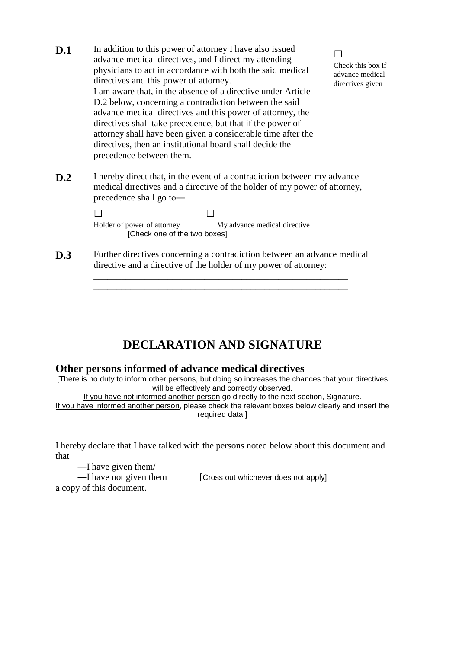**D.1** In addition to this power of attorney I have also issued advance medical directives, and I direct my attending physicians to act in accordance with both the said medical directives and this power of attorney. I am aware that, in the absence of a directive under Article D.2 below, concerning a contradiction between the said advance medical directives and this power of attorney, the directives shall take precedence, but that if the power of attorney shall have been given a considerable time after the directives, then an institutional board shall decide the precedence between them.

□ Check this box if advance medical directives given

**D.2** I hereby direct that, in the event of a contradiction between my advance medical directives and a directive of the holder of my power of attorney, precedence shall go to―

> □ □ Holder of power of attorney My advance medical directive [Check one of the two boxes]

**D.3** Further directives concerning a contradiction between an advance medical directive and a directive of the holder of my power of attorney:

> \_\_\_\_\_\_\_\_\_\_\_\_\_\_\_\_\_\_\_\_\_\_\_\_\_\_\_\_\_\_\_\_\_\_\_\_\_\_\_\_\_\_\_\_\_\_\_\_\_\_\_\_\_\_\_ \_\_\_\_\_\_\_\_\_\_\_\_\_\_\_\_\_\_\_\_\_\_\_\_\_\_\_\_\_\_\_\_\_\_\_\_\_\_\_\_\_\_\_\_\_\_\_\_\_\_\_\_\_\_\_

# **DECLARATION AND SIGNATURE**

### **Other persons informed of advance medical directives**

[There is no duty to inform other persons, but doing so increases the chances that your directives will be effectively and correctly observed.

If you have not informed another person go directly to the next section, Signature. If you have informed another person, please check the relevant boxes below clearly and insert the required data.]

I hereby declare that I have talked with the persons noted below about this document and that

―I have given them/

a copy of this document.

—I have not given them [Cross out whichever does not apply]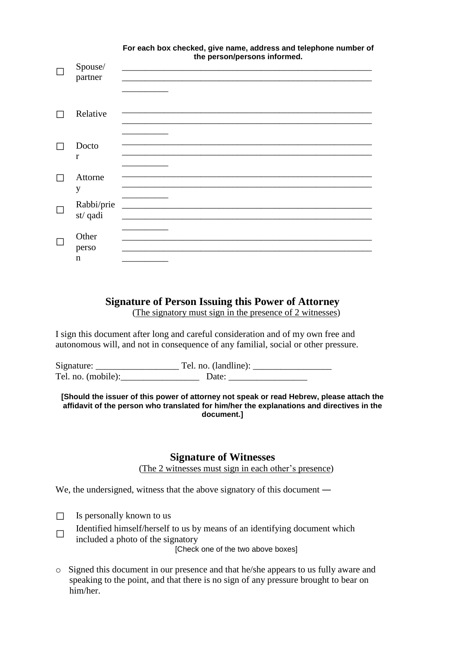|                        | . Or deen box onoonda, give name, address and tolophone namber<br>the person/persons informed. |
|------------------------|------------------------------------------------------------------------------------------------|
| Spouse/<br>partner     |                                                                                                |
| Relative               |                                                                                                |
| Docto<br>$\mathbf{r}$  |                                                                                                |
| Attorne<br>y           |                                                                                                |
| Rabbi/prie<br>st/ qadi |                                                                                                |
| Other<br>perso<br>n    |                                                                                                |

# **For each box checked, give name, address and telephone number of**

## **Signature of Person Issuing this Power of Attorney**

(The signatory must sign in the presence of 2 witnesses)

I sign this document after long and careful consideration and of my own free and autonomous will, and not in consequence of any familial, social or other pressure.

Signature: \_\_\_\_\_\_\_\_\_\_\_\_\_\_\_\_\_\_ Tel. no. (landline): \_\_\_\_\_\_\_\_\_\_\_\_\_\_\_\_\_ Tel. no. (mobile):\_\_\_\_\_\_\_\_\_\_\_\_\_\_\_\_\_ Date: \_\_\_\_\_\_\_\_\_\_\_\_\_\_\_\_\_

**[Should the issuer of this power of attorney not speak or read Hebrew, please attach the affidavit of the person who translated for him/her the explanations and directives in the document.]**

### **Signature of Witnesses**

(The 2 witnesses must sign in each other's presence)

We, the undersigned, witness that the above signatory of this document —

- $\Box$  Is personally known to us
- □ Identified himself/herself to us by means of an identifying document which included a photo of the signatory

[Check one of the two above boxes]

o Signed this document in our presence and that he/she appears to us fully aware and speaking to the point, and that there is no sign of any pressure brought to bear on him/her.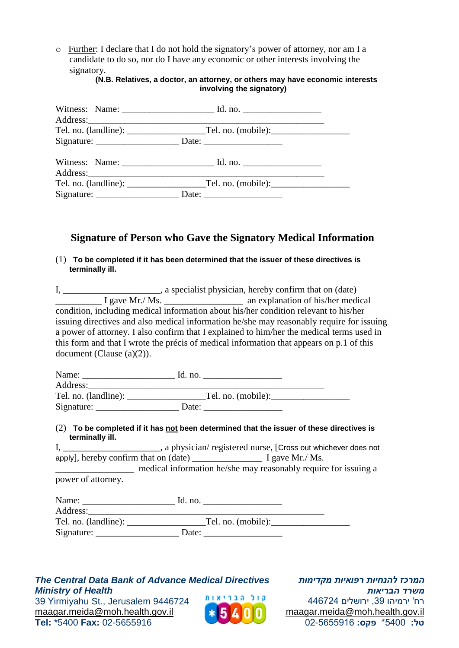o Further: I declare that I do not hold the signatory's power of attorney, nor am I a candidate to do so, nor do I have any economic or other interests involving the signatory.

#### **(N.B. Relatives, a doctor, an attorney, or others may have economic interests involving the signatory)**

## **Signature of Person who Gave the Signatory Medical Information**

(1) **To be completed if it has been determined that the issuer of these directives is terminally ill.**

I, \_\_\_\_\_\_\_\_\_\_\_\_\_\_\_\_\_, a specialist physician, hereby confirm that on (date)  $\overline{I}$  gave Mr./ Ms.  $\overline{I}$  an explanation of his/her medical condition, including medical information about his/her condition relevant to his/her issuing directives and also medical information he/she may reasonably require for issuing a power of attorney. I also confirm that I explained to him/her the medical terms used in this form and that I wrote the précis of medical information that appears on p.1 of this document (Clause (a)(2)).

| Name:                | Id. no.            |  |
|----------------------|--------------------|--|
| Address:             |                    |  |
| Tel. no. (landline): | Tel. no. (mobile): |  |
| Signature:           | Date:              |  |

### (2) **To be completed if it has not been determined that the issuer of these directives is terminally ill.**

I, \_\_\_\_\_\_\_\_\_\_\_\_\_\_\_\_\_\_\_\_, a physician/ registered nurse, [Cross out whichever does not apply], hereby confirm that on (date) \_\_\_\_\_\_\_\_\_\_\_\_\_\_\_ I gave Mr./ Ms.

medical information he/she may reasonably require for issuing a power of attorney.

| Name:    | Id. no.            |
|----------|--------------------|
| Address: |                    |
|          | Tel. no. (mobile): |
|          | Date:              |

### *The Central Data Bank of Advance Medical Directives Ministry of Health*

39 Υirmiyahu St., Jerusalem 9446724 [maagar.meida@moh.health.gov.il](mailto:maagar.meida@moh.health.gov.il) **Tel:** \*5400 **Fax:** 02-5655916



*המרכז להנחיות רפואיות מקדימות משרד הבריאות* רח' ירמיהו ,39 ירושלים 446724 [maagar.meida@moh.health.gov.il](file:///C:/Users/eti.biton/guy.zwerdling/AppData/Roaming/Microsoft/Word/maagar.meida@moh.health.gov.il) **טל:** 5400\* **פקס:** 02-5655916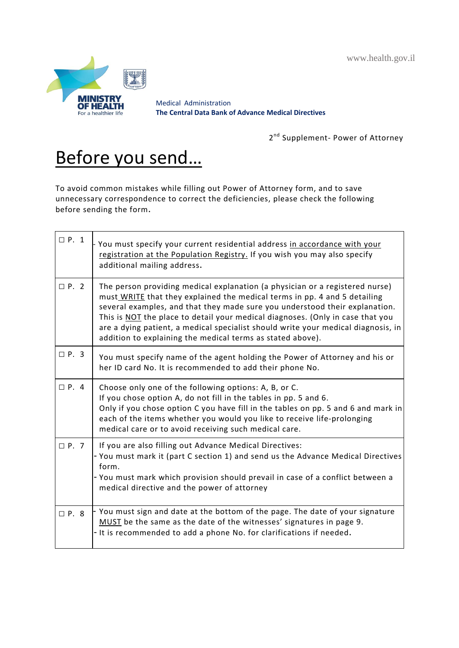www.health.gov.il



Medical Administration **The Central Data Bank of Advance Medical Directives**

2<sup>nd</sup> Supplement- Power of Attorney

# Before you send…

To avoid common mistakes while filling out Power of Attorney form, and to save unnecessary correspondence to correct the deficiencies, please check the following before sending the form.

| $\Box$ P. 1 | You must specify your current residential address in accordance with your<br>registration at the Population Registry. If you wish you may also specify<br>additional mailing address.                                                                                                                                                                                                                                                                                         |
|-------------|-------------------------------------------------------------------------------------------------------------------------------------------------------------------------------------------------------------------------------------------------------------------------------------------------------------------------------------------------------------------------------------------------------------------------------------------------------------------------------|
| $\Box$ P. 2 | The person providing medical explanation (a physician or a registered nurse)<br>must WRITE that they explained the medical terms in pp. 4 and 5 detailing<br>several examples, and that they made sure you understood their explanation.<br>This is NOT the place to detail your medical diagnoses. (Only in case that you<br>are a dying patient, a medical specialist should write your medical diagnosis, in<br>addition to explaining the medical terms as stated above). |
| $\Box$ P. 3 | You must specify name of the agent holding the Power of Attorney and his or<br>her ID card No. It is recommended to add their phone No.                                                                                                                                                                                                                                                                                                                                       |
| $\Box$ P. 4 | Choose only one of the following options: A, B, or C.<br>If you chose option A, do not fill in the tables in pp. 5 and 6.<br>Only if you chose option C you have fill in the tables on pp. 5 and 6 and mark in<br>each of the items whether you would you like to receive life-prolonging<br>medical care or to avoid receiving such medical care.                                                                                                                            |
| $\Box$ P. 7 | If you are also filling out Advance Medical Directives:<br>- You must mark it (part C section 1) and send us the Advance Medical Directives<br>form.<br>- You must mark which provision should prevail in case of a conflict between a<br>medical directive and the power of attorney                                                                                                                                                                                         |
| $\Box$ P. 8 | - You must sign and date at the bottom of the page. The date of your signature<br>MUST be the same as the date of the witnesses' signatures in page 9.<br>- It is recommended to add a phone No. for clarifications if needed.                                                                                                                                                                                                                                                |